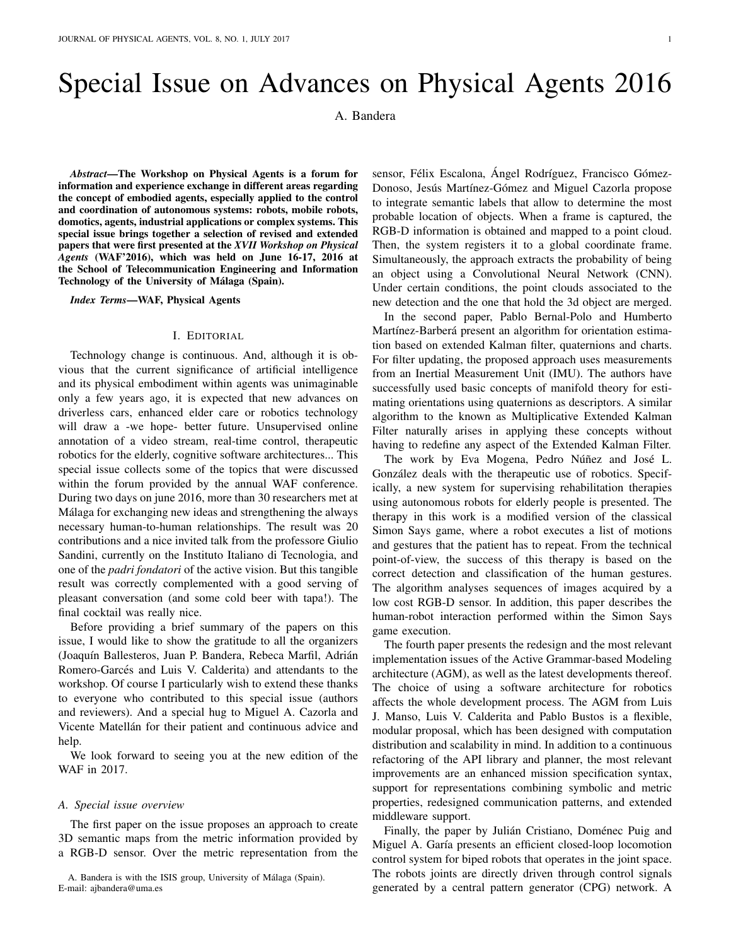## Special Issue on Advances on Physical Agents 2016

A. Bandera

*Abstract*—The Workshop on Physical Agents is a forum for information and experience exchange in different areas regarding the concept of embodied agents, especially applied to the control and coordination of autonomous systems: robots, mobile robots, domotics, agents, industrial applications or complex systems. This special issue brings together a selection of revised and extended papers that were first presented at the *XVII Workshop on Physical Agents* (WAF'2016), which was held on June 16-17, 2016 at the School of Telecommunication Engineering and Information Technology of the University of Málaga (Spain).

*Index Terms*—WAF, Physical Agents

## I. EDITORIAL

Technology change is continuous. And, although it is obvious that the current significance of artificial intelligence and its physical embodiment within agents was unimaginable only a few years ago, it is expected that new advances on driverless cars, enhanced elder care or robotics technology will draw a -we hope- better future. Unsupervised online annotation of a video stream, real-time control, therapeutic robotics for the elderly, cognitive software architectures... This special issue collects some of the topics that were discussed within the forum provided by the annual WAF conference. During two days on june 2016, more than 30 researchers met at Málaga for exchanging new ideas and strengthening the always necessary human-to-human relationships. The result was 20 contributions and a nice invited talk from the professore Giulio Sandini, currently on the Instituto Italiano di Tecnologia, and one of the *padri fondatori* of the active vision. But this tangible result was correctly complemented with a good serving of pleasant conversation (and some cold beer with tapa!). The final cocktail was really nice.

Before providing a brief summary of the papers on this issue, I would like to show the gratitude to all the organizers (Joaquín Ballesteros, Juan P. Bandera, Rebeca Marfil, Adrián Romero-Garcés and Luis V. Calderita) and attendants to the workshop. Of course I particularly wish to extend these thanks to everyone who contributed to this special issue (authors and reviewers). And a special hug to Miguel A. Cazorla and Vicente Matellán for their patient and continuous advice and help.

We look forward to seeing you at the new edition of the WAF in 2017.

## *A. Special issue overview*

The first paper on the issue proposes an approach to create 3D semantic maps from the metric information provided by a RGB-D sensor. Over the metric representation from the

A. Bandera is with the ISIS group, University of Málaga (Spain). E-mail: ajbandera@uma.es

sensor, Félix Escalona, Ángel Rodríguez, Francisco Gómez-Donoso, Jesús Martínez-Gómez and Miguel Cazorla propose to integrate semantic labels that allow to determine the most probable location of objects. When a frame is captured, the RGB-D information is obtained and mapped to a point cloud. Then, the system registers it to a global coordinate frame. Simultaneously, the approach extracts the probability of being an object using a Convolutional Neural Network (CNN). Under certain conditions, the point clouds associated to the new detection and the one that hold the 3d object are merged.

In the second paper, Pablo Bernal-Polo and Humberto Martínez-Barberá present an algorithm for orientation estimation based on extended Kalman filter, quaternions and charts. For filter updating, the proposed approach uses measurements from an Inertial Measurement Unit (IMU). The authors have successfully used basic concepts of manifold theory for estimating orientations using quaternions as descriptors. A similar algorithm to the known as Multiplicative Extended Kalman Filter naturally arises in applying these concepts without having to redefine any aspect of the Extended Kalman Filter.

The work by Eva Mogena, Pedro Núñez and José L. González deals with the therapeutic use of robotics. Specifically, a new system for supervising rehabilitation therapies using autonomous robots for elderly people is presented. The therapy in this work is a modified version of the classical Simon Says game, where a robot executes a list of motions and gestures that the patient has to repeat. From the technical point-of-view, the success of this therapy is based on the correct detection and classification of the human gestures. The algorithm analyses sequences of images acquired by a low cost RGB-D sensor. In addition, this paper describes the human-robot interaction performed within the Simon Says game execution.

The fourth paper presents the redesign and the most relevant implementation issues of the Active Grammar-based Modeling architecture (AGM), as well as the latest developments thereof. The choice of using a software architecture for robotics affects the whole development process. The AGM from Luis J. Manso, Luis V. Calderita and Pablo Bustos is a flexible, modular proposal, which has been designed with computation distribution and scalability in mind. In addition to a continuous refactoring of the API library and planner, the most relevant improvements are an enhanced mission specification syntax, support for representations combining symbolic and metric properties, redesigned communication patterns, and extended middleware support.

Finally, the paper by Julián Cristiano, Doménec Puig and Miguel A. Garía presents an efficient closed-loop locomotion control system for biped robots that operates in the joint space. The robots joints are directly driven through control signals generated by a central pattern generator (CPG) network. A